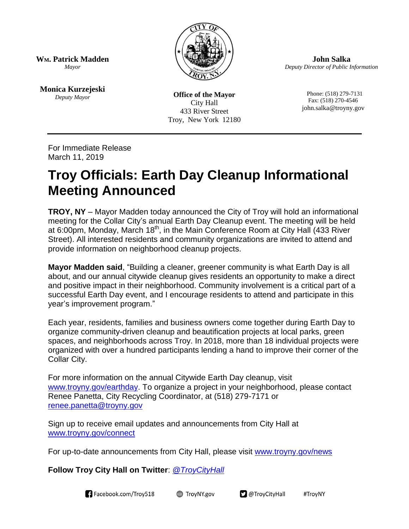

**John Salka** *Deputy Director of Public Information*

**WM. Patrick Madden** *Mayor*

**Monica Kurzejeski** *Deputy Mayor*

**Office of the Mayor** City Hall 433 River Street Troy, New York 12180

 Phone: (518) 279-7131 Fax: (518) 270-4546 john.salka@troyny.gov

For Immediate Release March 11, 2019

## **Troy Officials: Earth Day Cleanup Informational Meeting Announced**

**TROY, NY** – Mayor Madden today announced the City of Troy will hold an informational meeting for the Collar City's annual Earth Day Cleanup event. The meeting will be held at 6:00pm, Monday, March 18<sup>th</sup>, in the Main Conference Room at City Hall (433 River Street). All interested residents and community organizations are invited to attend and provide information on neighborhood cleanup projects.

**Mayor Madden said**, "Building a cleaner, greener community is what Earth Day is all about, and our annual citywide cleanup gives residents an opportunity to make a direct and positive impact in their neighborhood. Community involvement is a critical part of a successful Earth Day event, and I encourage residents to attend and participate in this year's improvement program."

Each year, residents, families and business owners come together during Earth Day to organize community-driven cleanup and beautification projects at local parks, green spaces, and neighborhoods across Troy. In 2018, more than 18 individual projects were organized with over a hundred participants lending a hand to improve their corner of the Collar City.

For more information on the annual Citywide Earth Day cleanup, visit [www.troyny.gov/earthday.](http://www.troyny.gov/earthday) To organize a project in your neighborhood, please contact Renee Panetta, City Recycling Coordinator, at (518) 279-7171 or [renee.panetta@troyny.gov](mailto:renee.panetta@troyny.gov)

Sign up to receive email updates and announcements from City Hall at [www.troyny.gov/connect](http://www.troyny.gov/connect)

For up-to-date announcements from City Hall, please visit [www.troyny.gov/news](http://www.troyny.gov/news)

**Follow Troy City Hall on Twitter**: *[@TroyCityHall](http://www.twitter.com/TroyCityHall)*



**<sup>●</sup>** TroyNY.gov

 $\square$  @TroyCityHall